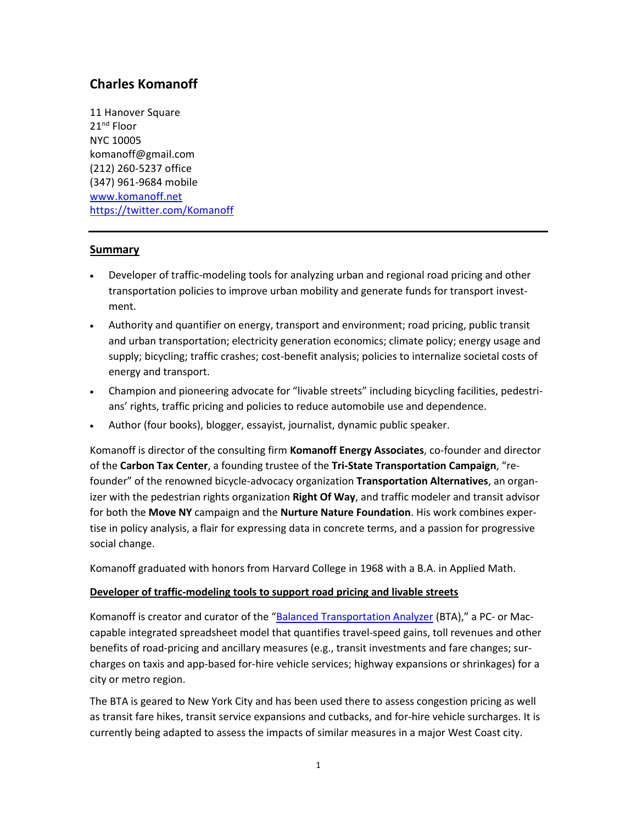# **Charles Komanoff**

11 Hanover Square 21<sup>nd</sup> Floor NYC 10005 komanoff@gmail.com (212) 260-5237 office (347) 961-9684 mobile [www.komanoff.net](http://www.komanoff.net/) <https://twitter.com/Komanoff>

## **Summary**

- Developer of traffic-modeling tools for analyzing urban and regional road pricing and other transportation policies to improve urban mobility and generate funds for transport investment.
- Authority and quantifier on energy, transport and environment; road pricing, public transit and urban transportation; electricity generation economics; climate policy; energy usage and supply; bicycling; traffic crashes; cost-benefit analysis; policies to internalize societal costs of energy and transport.
- Champion and pioneering advocate for "livable streets" including bicycling facilities, pedestrians' rights, traffic pricing and policies to reduce automobile use and dependence.
- Author (four books), blogger, essayist, journalist, dynamic public speaker.

Komanoff is director of the consulting firm **Komanoff Energy Associates**, co-founder and director of the **Carbon Tax Center**, a founding trustee of the **Tri-State Transportation Campaign**, "refounder" of the renowned bicycle-advocacy organization **Transportation Alternatives**, an organizer with the pedestrian rights organization **Right Of Way**, and traffic modeler and transit advisor for both the **Move NY** campaign and the **Nurture Nature Foundation**. His work combines expertise in policy analysis, a flair for expressing data in concrete terms, and a passion for progressive social change.

Komanoff graduated with honors from Harvard College in 1968 with a B.A. in Applied Math.

## **Developer of traffic-modeling tools to support road pricing and livable streets**

Komanoff is creator and curator of the "[Balanced Transportation Analyzer](http://www.nnyn.org/kheelplan/BTA_1.1.xls) (BTA)," a PC- or Maccapable integrated spreadsheet model that quantifies travel-speed gains, toll revenues and other benefits of road-pricing and ancillary measures (e.g., transit investments and fare changes; surcharges on taxis and app-based for-hire vehicle services; highway expansions or shrinkages) for a city or metro region.

The BTA is geared to New York City and has been used there to assess congestion pricing as well as transit fare hikes, transit service expansions and cutbacks, and for-hire vehicle surcharges. It is currently being adapted to assess the impacts of similar measures in a major West Coast city.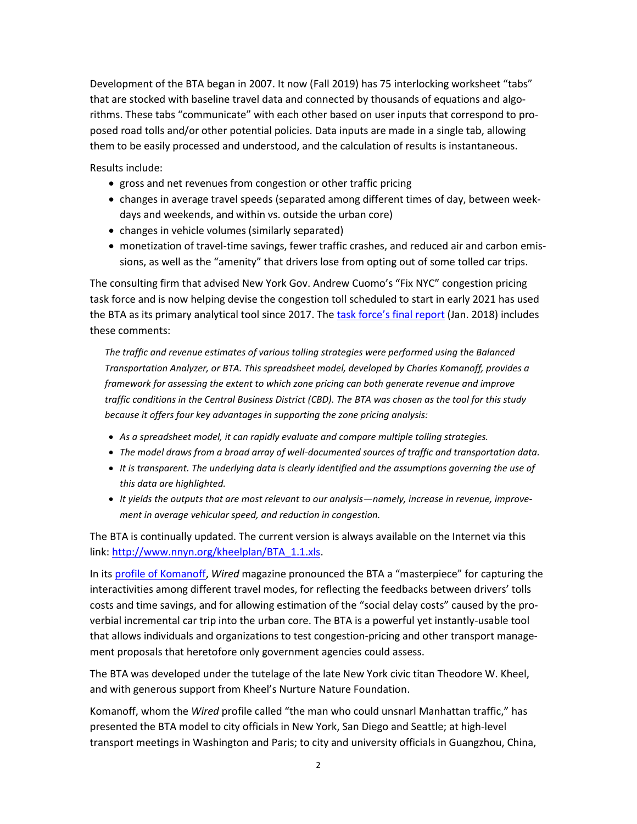Development of the BTA began in 2007. It now (Fall 2019) has 75 interlocking worksheet "tabs" that are stocked with baseline travel data and connected by thousands of equations and algorithms. These tabs "communicate" with each other based on user inputs that correspond to proposed road tolls and/or other potential policies. Data inputs are made in a single tab, allowing them to be easily processed and understood, and the calculation of results is instantaneous.

Results include:

- gross and net revenues from congestion or other traffic pricing
- changes in average travel speeds (separated among different times of day, between weekdays and weekends, and within vs. outside the urban core)
- changes in vehicle volumes (similarly separated)
- monetization of travel-time savings, fewer traffic crashes, and reduced air and carbon emissions, as well as the "amenity" that drivers lose from opting out of some tolled car trips.

The consulting firm that advised New York Gov. Andrew Cuomo's "Fix NYC" congestion pricing task force and is now helping devise the congestion toll scheduled to start in early 2021 has used the BTA as its primary analytical tool since 2017. The [task force's final report](http://www.hntb.com/HNTB/media/HNTBMediaLibrary/Home/Fix-NYC-Panel-Report.pdf) (Jan. 2018) includes these comments:

*The traffic and revenue estimates of various tolling strategies were performed using the Balanced Transportation Analyzer, or BTA. This spreadsheet model, developed by Charles Komanoff, provides a framework for assessing the extent to which zone pricing can both generate revenue and improve traffic conditions in the Central Business District (CBD). The BTA was chosen as the tool for this study because it offers four key advantages in supporting the zone pricing analysis:* 

- *As a spreadsheet model, it can rapidly evaluate and compare multiple tolling strategies.*
- *The model draws from a broad array of well-documented sources of traffic and transportation data.*
- *It is transparent. The underlying data is clearly identified and the assumptions governing the use of this data are highlighted.*
- *It yields the outputs that are most relevant to our analysis—namely, increase in revenue, improvement in average vehicular speed, and reduction in congestion.*

The BTA is continually updated. The current version is always available on the Internet via this link[: http://www.nnyn.org/kheelplan/BTA\\_1.1.xls.](http://www.nnyn.org/kheelplan/BTA_1.1.xls)

In it[s profile of Komanoff,](http://www.wired.com/magazine/2010/05/ff_komanoff_traffic/) *Wired* magazine pronounced the BTA a "masterpiece" for capturing the interactivities among different travel modes, for reflecting the feedbacks between drivers' tolls costs and time savings, and for allowing estimation of the "social delay costs" caused by the proverbial incremental car trip into the urban core. The BTA is a powerful yet instantly-usable tool that allows individuals and organizations to test congestion-pricing and other transport management proposals that heretofore only government agencies could assess.

The BTA was developed under the tutelage of the late New York civic titan Theodore W. Kheel, and with generous support from Kheel's Nurture Nature Foundation.

Komanoff, whom the *Wired* profile called "the man who could unsnarl Manhattan traffic," has presented the BTA model to city officials in New York, San Diego and Seattle; at high-level transport meetings in Washington and Paris; to city and university officials in Guangzhou, China,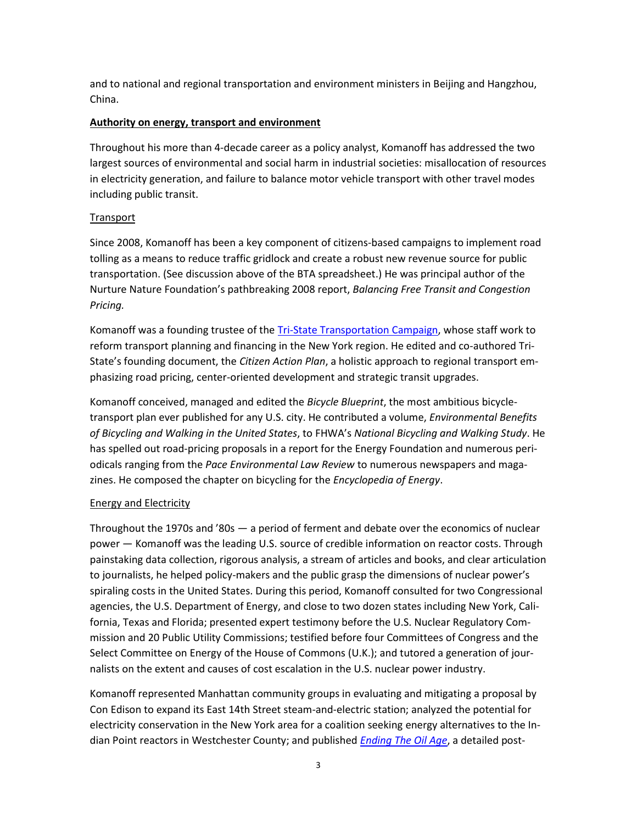and to national and regional transportation and environment ministers in Beijing and Hangzhou, China.

#### **Authority on energy, transport and environment**

Throughout his more than 4-decade career as a policy analyst, Komanoff has addressed the two largest sources of environmental and social harm in industrial societies: misallocation of resources in electricity generation, and failure to balance motor vehicle transport with other travel modes including public transit.

#### **Transport**

Since 2008, Komanoff has been a key component of citizens-based campaigns to implement road tolling as a means to reduce traffic gridlock and create a robust new revenue source for public transportation. (See discussion above of the BTA spreadsheet.) He was principal author of the Nurture Nature Foundation's pathbreaking 2008 report, *Balancing Free Transit and Congestion Pricing.*

Komanoff was a founding trustee of the *Tri-State Transportation Campaign*, whose staff work to reform transport planning and financing in the New York region. He edited and co-authored Tri-State's founding document, the *Citizen Action Plan*, a holistic approach to regional transport emphasizing road pricing, center-oriented development and strategic transit upgrades.

Komanoff conceived, managed and edited the *Bicycle Blueprint*, the most ambitious bicycletransport plan ever published for any U.S. city. He contributed a volume, *Environmental Benefits of Bicycling and Walking in the United States*, to FHWA's *National Bicycling and Walking Study*. He has spelled out road-pricing proposals in a report for the Energy Foundation and numerous periodicals ranging from the *Pace Environmental Law Review* to numerous newspapers and magazines. He composed the chapter on bicycling for the *Encyclopedia of Energy*.

### Energy and Electricity

Throughout the 1970s and '80s — a period of ferment and debate over the economics of nuclear power — Komanoff was the leading U.S. source of credible information on reactor costs. Through painstaking data collection, rigorous analysis, a stream of articles and books, and clear articulation to journalists, he helped policy-makers and the public grasp the dimensions of nuclear power's spiraling costs in the United States. During this period, Komanoff consulted for two Congressional agencies, the U.S. Department of Energy, and close to two dozen states including New York, California, Texas and Florida; presented expert testimony before the U.S. Nuclear Regulatory Commission and 20 Public Utility Commissions; testified before four Committees of Congress and the Select Committee on Energy of the House of Commons (U.K.); and tutored a generation of journalists on the extent and causes of cost escalation in the U.S. nuclear power industry.

Komanoff represented Manhattan community groups in evaluating and mitigating a proposal by Con Edison to expand its East 14th Street steam-and-electric station; analyzed the potential for electricity conservation in the New York area for a coalition seeking energy alternatives to the Indian Point reactors in Westchester County; and published *[Ending The Oil Age](http://www.rightofway.org/research/newoilage.pdf)*, a detailed post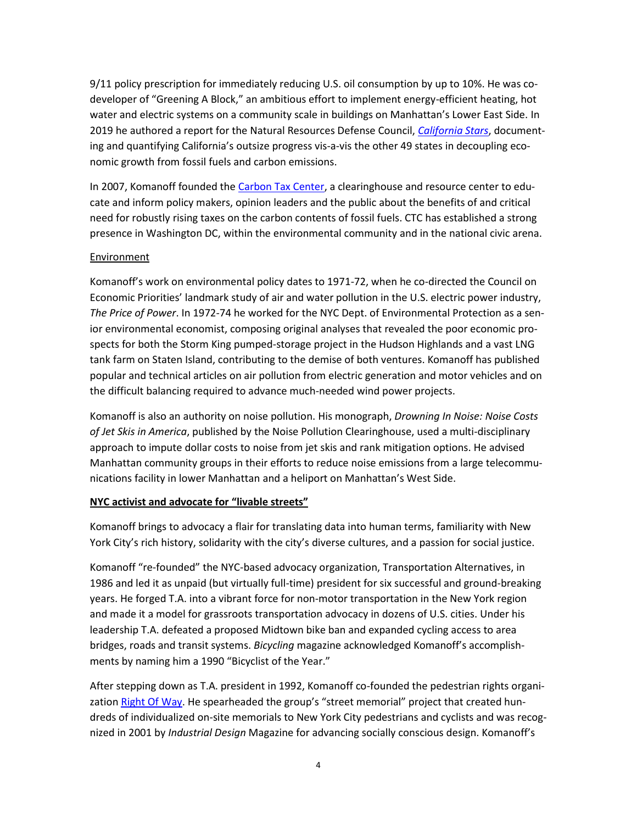9/11 policy prescription for immediately reducing U.S. oil consumption by up to 10%. He was codeveloper of "Greening A Block," an ambitious effort to implement energy-efficient heating, hot water and electric systems on a community scale in buildings on Manhattan's Lower East Side. In 2019 he authored a report for the Natural Resources Defense Council, *[California Stars](http://komanoff.net/lighting/California_Stars.pdf)*, documenting and quantifying California's outsize progress vis-a-vis the other 49 states in decoupling economic growth from fossil fuels and carbon emissions.

In 2007, Komanoff founded the [Carbon Tax Center,](http://www.carbontax.org/) a clearinghouse and resource center to educate and inform policy makers, opinion leaders and the public about the benefits of and critical need for robustly rising taxes on the carbon contents of fossil fuels. CTC has established a strong presence in Washington DC, within the environmental community and in the national civic arena.

#### Environment

Komanoff's work on environmental policy dates to 1971-72, when he co-directed the Council on Economic Priorities' landmark study of air and water pollution in the U.S. electric power industry, *The Price of Power*. In 1972-74 he worked for the NYC Dept. of Environmental Protection as a senior environmental economist, composing original analyses that revealed the poor economic prospects for both the Storm King pumped-storage project in the Hudson Highlands and a vast LNG tank farm on Staten Island, contributing to the demise of both ventures. Komanoff has published popular and technical articles on air pollution from electric generation and motor vehicles and on the difficult balancing required to advance much-needed wind power projects.

Komanoff is also an authority on noise pollution. His monograph, *Drowning In Noise: Noise Costs of Jet Skis in America*, published by the Noise Pollution Clearinghouse, used a multi-disciplinary approach to impute dollar costs to noise from jet skis and rank mitigation options. He advised Manhattan community groups in their efforts to reduce noise emissions from a large telecommunications facility in lower Manhattan and a heliport on Manhattan's West Side.

#### **NYC activist and advocate for "livable streets"**

Komanoff brings to advocacy a flair for translating data into human terms, familiarity with New York City's rich history, solidarity with the city's diverse cultures, and a passion for social justice.

Komanoff "re-founded" the NYC-based advocacy organization, Transportation Alternatives, in 1986 and led it as unpaid (but virtually full-time) president for six successful and ground-breaking years. He forged T.A. into a vibrant force for non-motor transportation in the New York region and made it a model for grassroots transportation advocacy in dozens of U.S. cities. Under his leadership T.A. defeated a proposed Midtown bike ban and expanded cycling access to area bridges, roads and transit systems. *Bicycling* magazine acknowledged Komanoff's accomplishments by naming him a 1990 "Bicyclist of the Year."

After stepping down as T.A. president in 1992, Komanoff co-founded the pedestrian rights organi-zation [Right Of Way.](http://www.rightofway.org/) He spearheaded the group's "street memorial" project that created hundreds of individualized on-site memorials to New York City pedestrians and cyclists and was recognized in 2001 by *Industrial Design* Magazine for advancing socially conscious design. Komanoff's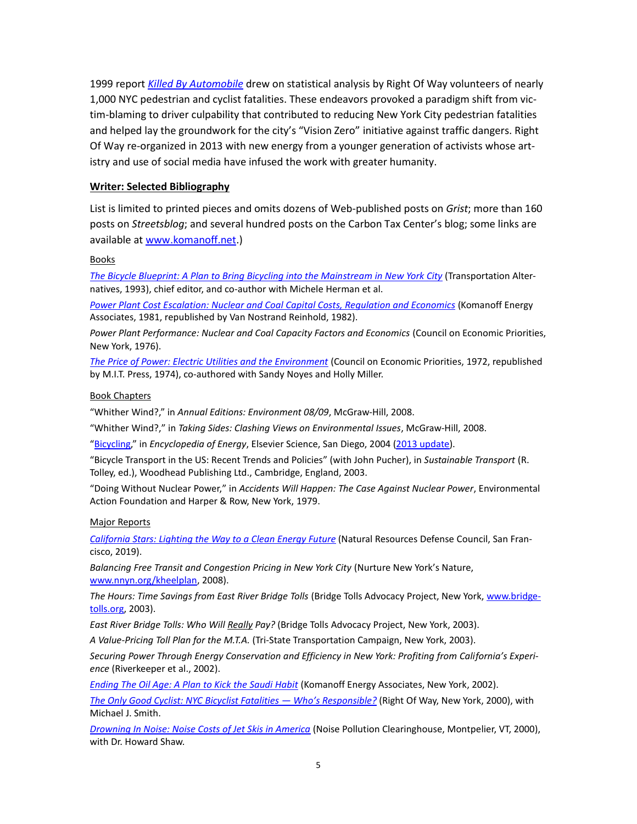1999 report *[Killed By Automobile](http://www.cars-suck.org/research/kba_text.pdf)* drew on statistical analysis by Right Of Way volunteers of nearly 1,000 NYC pedestrian and cyclist fatalities. These endeavors provoked a paradigm shift from victim-blaming to driver culpability that contributed to reducing New York City pedestrian fatalities and helped lay the groundwork for the city's "Vision Zero" initiative against traffic dangers. Right Of Way re-organized in 2013 with new energy from a younger generation of activists whose artistry and use of social media have infused the work with greater humanity.

#### **Writer: Selected Bibliography**

List is limited to printed pieces and omits dozens of Web-published posts on *Grist*; more than 160 posts on *Streetsblog*; and several hundred posts on the Carbon Tax Center's blog; some links are available at [www.komanoff.net.](http://www.komanoff.net/))

#### Books

*[The Bicycle Blueprint: A Plan to Bring Bicycling into the Mainstream in New York City](http://www.komanoff.net/bicycle/Blueprint_complete.pdf)* (Transportation Alternatives, 1993), chief editor, and co-author with Michele Herman et al.

*Power [Plant Cost Escalation: Nuclear and Coal Capital Costs, Regulation and Economics](http://www.komanoff.net/nuclear_power/Power_Plant_Cost_Escalation.pdf)* (Komanoff Energy Associates, 1981, republished by Van Nostrand Reinhold, 1982).

*Power Plant Performance: Nuclear and Coal Capacity Factors and Economics* (Council on Economic Priorities, New York, 1976).

*[The Price of Power: Electric Utilities and the Environment](http://www.komanoff.net/fossil/The_Price_of_Power_Electric_Utilities_and_the_Environment_complete.pdf)* (Council on Economic Priorities, 1972, republished by M.I.T. Press, 1974), co-authored with Sandy Noyes and Holly Miller.

#### Book Chapters

"Whither Wind?," in *Annual Editions: Environment 08/09*, McGraw-Hill, 2008.

"Whither Wind?," in *Taking Sides: Clashing Views on Environmental Issues*, McGraw-Hill, 2008.

["Bicycling,"](http://www.komanoff.net/bicycle/enc_of_energy__bicycling.pdf) in *Encyclopedia of Energy*, Elsevier Science, San Diego, 2004 [\(2013 update\)](http://www.komanoff.net/bicycle/Bicycling_Komanoff_2013_Elsevier_Encyc_of_Energy.pdf).

"Bicycle Transport in the US: Recent Trends and Policies" (with John Pucher), in *Sustainable Transport* (R. Tolley, ed.), Woodhead Publishing Ltd., Cambridge, England, 2003.

"Doing Without Nuclear Power," in *Accidents Will Happen: The Case Against Nuclear Power*, Environmental Action Foundation and Harper & Row, New York, 1979.

#### Major Reports

*California [Stars: Lighting the Way to a Clean Energy Future](http://komanoff.net/lighting/California_Stars.pdf)* (Natural Resources Defense Council, San Francisco, 2019).

*Balancing Free Transit and Congestion Pricing in New York City* (Nurture New York's Nature, [www.nnyn.org/kheelplan,](http://www.nnyn.org/kheelplan) 2008).

*The Hours: Time Savings from East River Bridge Tolls* (Bridge Tolls Advocacy Project, New York[, www.bridge](http://www.bridgetolls.org/)[tolls.org,](http://www.bridgetolls.org/) 2003).

*East River Bridge Tolls: Who Will Really Pay?* (Bridge Tolls Advocacy Project, New York, 2003).

*A Value-Pricing Toll Plan for the M.T.A.* (Tri-State Transportation Campaign, New York, 2003).

*Securing Power Through Energy Conservation and Efficiency in New York: Profiting from California's Experience* (Riverkeeper et al., 2002).

*[Ending The Oil Age: A Plan to Kick the Saudi Habit](http://www.rightofway.org/research/newoilage.pdf)* (Komanoff Energy Associates, New York, 2002).

*[The Only Good Cyclist: NYC Bicyclist Fatalities —](http://www.komanoff.net/cars_I/OnlyGoodCyclist.pdf) Who's Responsible?* (Right Of Way, New York, 2000), with Michael J. Smith.

*[Drowning In Noise: Noise Costs of Jet Skis in America](http://www.komanoff.net/jet_skis/Drowning_In_Noise_complete.pdf)* (Noise Pollution Clearinghouse, Montpelier, VT, 2000), with Dr. Howard Shaw.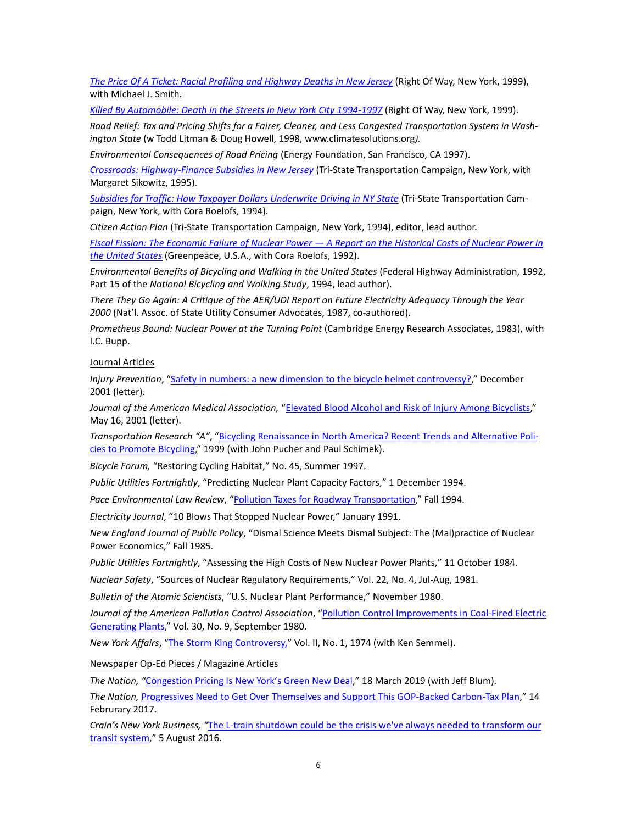*[The Price Of A Ticket: Racial Profiling and Highway Deaths in New Jersey](http://www.cars-suck.org/research/ticketpr.pdf)* (Right Of Way, New York, 1999), with Michael J. Smith.

*Killed By [Automobile: Death in the Streets in New York City 1994-1997](http://www.komanoff.net/cars_I/KBA_entire_2015.pdf)* (Right Of Way, New York, 1999).

*Road Relief: Tax and Pricing Shifts for a Fairer, Cleaner, and Less Congested Transportation System in Washington State* (w Todd Litman & Doug Howell, 1998, www.climatesolutions.org*).*

*Environmental Consequences of Road Pricing* (Energy Foundation, San Francisco, CA 1997).

*[Crossroads: Highway-Finance Subsidies in New Jersey](http://www.komanoff.net/cars_II/Crossroads.pdf)* (Tri-State Transportation Campaign, New York, with Margaret Sikowitz, 1995).

*[Subsidies for Traffic: How Taxpayer Dollars Underwrite Driving in NY State](http://www.komanoff.net/cars_II/Subsidies_for_Traffic.pdf)* (Tri-State Transportation Campaign, New York, with Cora Roelofs, 1994).

*Citizen Action Plan* (Tri-State Transportation Campaign, New York, 1994), editor, lead author.

*[Fiscal Fission: The Economic Failure of Nuclear Power —](http://www.komanoff.net/nuclear_power/Fiscal_Fission_complete.pdf) A Report on the Historical Costs of Nuclear Power in [the United States](http://www.komanoff.net/nuclear_power/Fiscal_Fission_complete.pdf)* (Greenpeace, U.S.A., with Cora Roelofs, 1992).

*Environmental Benefits of Bicycling and Walking in the United States* (Federal Highway Administration, 1992, Part 15 of the *National Bicycling and Walking Study*, 1994, lead author).

*There They Go Again: A Critique of the AER/UDI Report on Future Electricity Adequacy Through the Year 2000* (Nat'l. Assoc. of State Utility Consumer Advocates, 1987, co-authored).

*Prometheus Bound: Nuclear Power at the Turning Point* (Cambridge Energy Research Associates, 1983), with I.C. Bupp.

Journal Articles

*Injury Prevention*, ["Safety in numbers: a new dimension to the bicycle helmet controversy?,](http://www.komanoff.net/bicycle/safety_in_numbers.php)" December 2001 (letter).

*Journal of the American Medical Association,* ["Elevated Blood Alcohol and Risk of Injury Among Bicyclists,"](http://www.cars-suck.org/research/jama.pdf) May 16, 2001 (letter).

*Transportation Research "A"*, ["Bicycling Renaissance in North America? Recent Trends and Alternative Poli](http://www.komanoff.net/bicycle/Bicycling_Renaissance.pdf)[cies to Promote Bicycling,"](http://www.komanoff.net/bicycle/Bicycling_Renaissance.pdf) 1999 (with John Pucher and Paul Schimek).

*Bicycle Forum,* "Restoring Cycling Habitat," No. 45, Summer 1997.

*Public Utilities Fortnightly*, "Predicting Nuclear Plant Capacity Factors," 1 December 1994.

*Pace Environmental Law Review*, ["Pollution Taxes for Roadway Transportation,"](http://digitalcommons.pace.edu/cgi/viewcontent.cgi?article=1526&context=pelr) Fall 1994.

*Electricity Journal*, "10 Blows That Stopped Nuclear Power," January 1991.

*New England Journal of Public Policy*, "Dismal Science Meets Dismal Subject: The (Mal)practice of Nuclear Power Economics," Fall 1985.

*Public Utilities Fortnightly*, "Assessing the High Costs of New Nuclear Power Plants," 11 October 1984.

*Nuclear Safety*, "Sources of Nuclear Regulatory Requirements," Vol. 22, No. 4, Jul-Aug, 1981.

*Bulletin of the Atomic Scientists*, "U.S. Nuclear Plant Performance," November 1980.

*Journal of the American Pollution Control Association*, ["Pollution Control Improvements in Coal-Fired Electric](http://www.komanoff.net/fossil/Komanoff_J_Air_Pollution_Control_Assn_Sept_1980.pdf)  [Generating Plants,"](http://www.komanoff.net/fossil/Komanoff_J_Air_Pollution_Control_Assn_Sept_1980.pdf) Vol. 30, No. 9, September 1980.

*New York Affairs*, ["The Storm King Controversy,"](http://komanoff.net/lighting/The_Storm_King_Controversy.pdf) Vol. II, No. 1, 1974 (with Ken Semmel).

Newspaper Op-Ed Pieces / Magazine Articles

*The Nation, "*[Congestion Pricing Is New York's Green New Deal,](https://www.thenation.com/article/congestion-pricing-new-york-green-new-deal/)" 18 March 2019 (with Jeff Blum). *The Nation,* [Progressives Need to Get Over Themselves and Support This GOP-Backed Carbon-Tax Plan,](https://www.thenation.com/article/progressives-need-to-get-over-themselves-and-support-this-gop-backed-carbon-tax-plan/)" 14 Februrary 2017.

*Crain's New York Business, "*The L-train shutdown could be [the crisis we've always needed to transform our](http://www.crainsnewyork.com/article/20160805/opinion/160809951/the-l-train-shutdown-could-be-the-crisis-weve-always-needed-to-transform-our-transit-system)  [transit system](http://www.crainsnewyork.com/article/20160805/opinion/160809951/the-l-train-shutdown-could-be-the-crisis-weve-always-needed-to-transform-our-transit-system)," 5 August 2016.